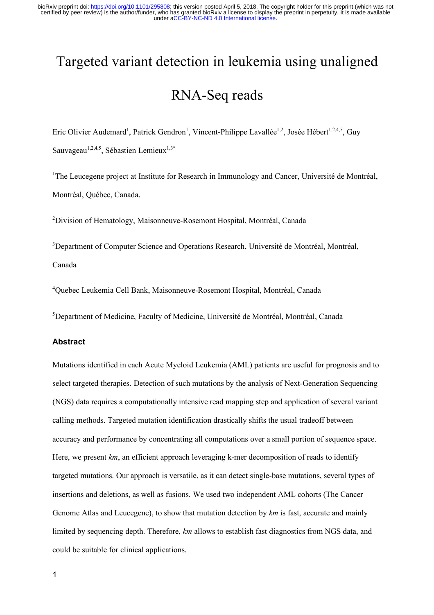# Targeted variant detection in leukemia using unaligned RNA-Seq reads

Eric Olivier Audemard<sup>1</sup>, Patrick Gendron<sup>1</sup>, Vincent-Philippe Lavallée<sup>1,2</sup>, Josée Hébert<sup>1,2,4,5</sup>, Guy Sauvageau<sup>1,2,4,5</sup>, Sébastien Lemieux<sup>1,3\*</sup>

<sup>1</sup>The Leucegene project at Institute for Research in Immunology and Cancer, Université de Montréal, Montréal, Québec, Canada.

<sup>2</sup>Division of Hematology, Maisonneuve-Rosemont Hospital, Montréal, Canada

<sup>3</sup>Department of Computer Science and Operations Research, Université de Montréal, Montréal, Canada

4 Quebec Leukemia Cell Bank, Maisonneuve-Rosemont Hospital, Montréal, Canada

5 Department of Medicine, Faculty of Medicine, Université de Montréal, Montréal, Canada

## **Abstract**

Mutations identified in each Acute Myeloid Leukemia (AML) patients are useful for prognosis and to select targeted therapies. Detection of such mutations by the analysis of Next-Generation Sequencing (NGS) data requires a computationally intensive read mapping step and application of several variant calling methods. Targeted mutation identification drastically shifts the usual tradeoff between accuracy and performance by concentrating all computations over a small portion of sequence space. Here, we present *km*, an efficient approach leveraging k-mer decomposition of reads to identify targeted mutations. Our approach is versatile, as it can detect single-base mutations, several types of insertions and deletions, as well as fusions. We used two independent AML cohorts (The Cancer Genome Atlas and Leucegene), to show that mutation detection by *km* is fast, accurate and mainly limited by sequencing depth. Therefore, *km* allows to establish fast diagnostics from NGS data, and could be suitable for clinical applications.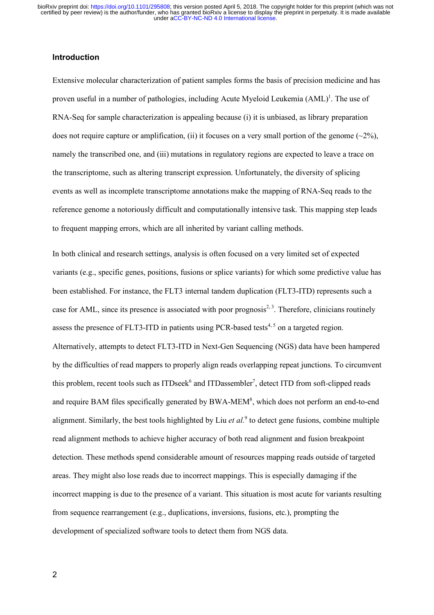## **Introduction**

Extensive molecular characterization of patient samples forms the basis of precision medicine and has proven useful in a number of pathologies, including Acute Myeloid Leukemia (AML)<sup>1</sup>. The use of RNA-Seq for sample characterization is appealing because (i) it is unbiased, as library preparation does not require capture or amplification, (ii) it focuses on a very small portion of the genome  $(\sim 2\%)$ . namely the transcribed one, and (iii) mutations in regulatory regions are expected to leave a trace on the transcriptome, such as altering transcript expression. Unfortunately, the diversity of splicing events as well as incomplete transcriptome annotations make the mapping of RNA-Seq reads to the reference genome a notoriously difficult and computationally intensive task. This mapping step leads to frequent mapping errors, which are all inherited by variant calling methods.

In both clinical and research settings, analysis is often focused on a very limited set of expected variants (e.g., specific genes, positions, fusions or splice variants) for which some predictive value has been established. For instance, the FLT3 internal tandem duplication (FLT3-ITD) represents such a case for AML, since its presence is associated with poor prognosis<sup>2, 3</sup>. Therefore, clinicians routinely assess the presence of FLT3-ITD in patients using PCR-based tests<sup>4, 5</sup> on a targeted region. Alternatively, attempts to detect FLT3-ITD in Next-Gen Sequencing (NGS) data have been hampered by the difficulties of read mappers to properly align reads overlapping repeat junctions. To circumvent this problem, recent tools such as  $ITDseek<sup>6</sup>$  and  $ITDassenbler<sup>7</sup>$ , detect  $ITD$  from soft-clipped reads and require BAM files specifically generated by BWA-MEM<sup>8</sup>, which does not perform an end-to-end alignment. Similarly, the best tools highlighted by Liu *et al.*<sup>9</sup> to detect gene fusions, combine multiple read alignment methods to achieve higher accuracy of both read alignment and fusion breakpoint detection. These methods spend considerable amount of resources mapping reads outside of targeted areas. They might also lose reads due to incorrect mappings. This is especially damaging if the incorrect mapping is due to the presence of a variant. This situation is most acute for variants resulting from sequence rearrangement (e.g., duplications, inversions, fusions, etc.), prompting the development of specialized software tools to detect them from NGS data.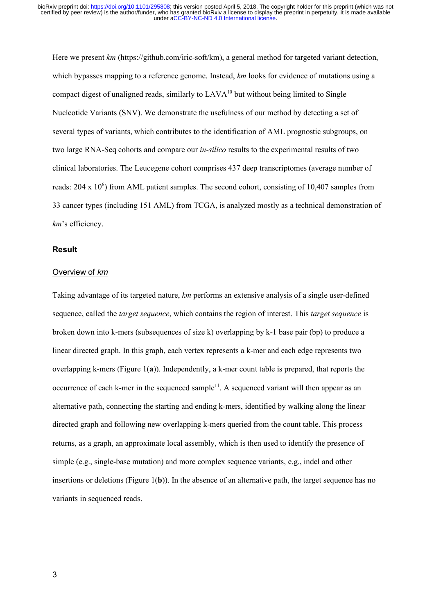Here we present *km* (https://github.com/iric-soft/km), a general method for targeted variant detection, which bypasses mapping to a reference genome. Instead, *km* looks for evidence of mutations using a compact digest of unaligned reads, similarly to  $LAVA^{10}$  but without being limited to Single Nucleotide Variants (SNV). We demonstrate the usefulness of our method by detecting a set of several types of variants, which contributes to the identification of AML prognostic subgroups, on two large RNA-Seq cohorts and compare our *in-silico* results to the experimental results of two clinical laboratories. The Leucegene cohort comprises 437 deep transcriptomes (average number of reads:  $204 \times 10^6$ ) from AML patient samples. The second cohort, consisting of 10,407 samples from 33 cancer types (including 151 AML) from TCGA, is analyzed mostly as a technical demonstration of *km*'s efficiency.

### **Result**

#### Overview of *km*

Taking advantage of its targeted nature, *km* performs an extensive analysis of a single user-defined sequence, called the *target sequence*, which contains the region of interest. This *target sequence* is broken down into k-mers (subsequences of size k) overlapping by k-1 base pair (bp) to produce a linear directed graph. In this graph, each vertex represents a k-mer and each edge represents two overlapping k-mers (Figure 1(**a**)). Independently, a k-mer count table is prepared, that reports the occurrence of each k-mer in the sequenced sample<sup>11</sup>. A sequenced variant will then appear as an alternative path, connecting the starting and ending k-mers, identified by walking along the linear directed graph and following new overlapping k-mers queried from the count table. This process returns, as a graph, an approximate local assembly, which is then used to identify the presence of simple (e.g., single-base mutation) and more complex sequence variants, e.g., indel and other insertions or deletions (Figure 1(**b**)). In the absence of an alternative path, the target sequence has no variants in sequenced reads.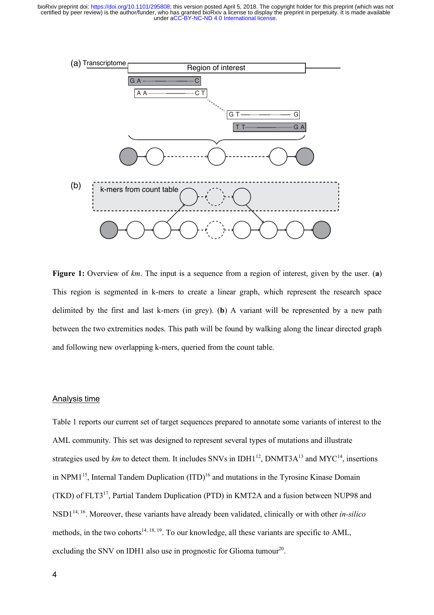

**Figure 1:** Overview of *km*. The input is a sequence from a region of interest, given by the user. (**a**) This region is segmented in k-mers to create a linear graph, which represent the research space delimited by the first and last k-mers (in grey). (**b**) A variant will be represented by a new path between the two extremities nodes. This path will be found by walking along the linear directed graph and following new overlapping k-mers, queried from the count table.

## Analysis time

Table 1 reports our current set of target sequences prepared to annotate some variants of interest to the AML community. This set was designed to represent several types of mutations and illustrate strategies used by  $km$  to detect them. It includes SNVs in IDH1<sup>12</sup>, DNMT3A<sup>13</sup> and MYC<sup>14</sup>, insertions in NPM1<sup>15</sup>, Internal Tandem Duplication  $(ITD)^{16}$  and mutations in the Tyrosine Kinase Domain (TKD) of FLT317, Partial Tandem Duplication (PTD) in KMT2A and a fusion between NUP98 and NSD114, 16. Moreover, these variants have already been validated, clinically or with other *in-silico*  methods, in the two cohorts<sup>14, 18, 19</sup>. To our knowledge, all these variants are specific to AML, excluding the SNV on IDH1 also use in prognostic for Glioma tumour<sup>20</sup>.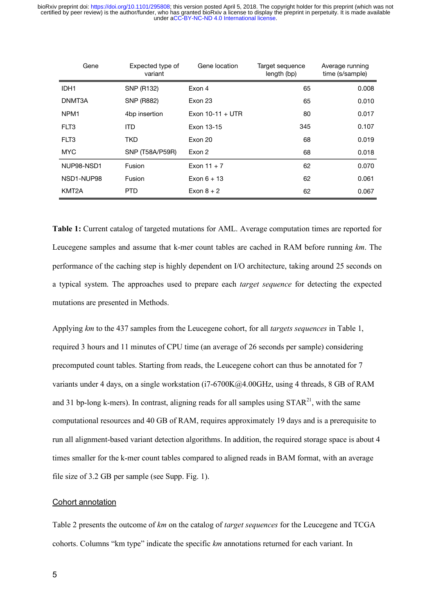| Gene             | Expected type of<br>variant | Gene location      | Target sequence<br>length (bp) | Average running<br>time (s/sample) |
|------------------|-----------------------------|--------------------|--------------------------------|------------------------------------|
| IDH <sub>1</sub> | SNP (R132)                  | Exon 4             | 65                             | 0.008                              |
| DNMT3A           | <b>SNP (R882)</b>           | Exon 23            | 65                             | 0.010                              |
| NPM <sub>1</sub> | 4bp insertion               | Exon $10-11 + UTR$ | 80                             | 0.017                              |
| FLT3             | ITD                         | Exon 13-15         | 345                            | 0.107                              |
| FLT3             | TKD                         | Exon 20            | 68                             | 0.019                              |
| <b>MYC</b>       | SNP (T58A/P59R)             | Exon 2             | 68                             | 0.018                              |
| NUP98-NSD1       | Fusion                      | Exon $11 + 7$      | 62                             | 0.070                              |
| NSD1-NUP98       | Fusion                      | Exon $6 + 13$      | 62                             | 0.061                              |
| KMT2A            | PTD.                        | Exon $8 + 2$       | 62                             | 0.067                              |

**Table 1:** Current catalog of targeted mutations for AML. Average computation times are reported for Leucegene samples and assume that k-mer count tables are cached in RAM before running *km*. The performance of the caching step is highly dependent on I/O architecture, taking around 25 seconds on a typical system. The approaches used to prepare each *target sequence* for detecting the expected mutations are presented in Methods.

Applying *km* to the 437 samples from the Leucegene cohort, for all *targets sequences* in Table 1, required 3 hours and 11 minutes of CPU time (an average of 26 seconds per sample) considering precomputed count tables. Starting from reads, the Leucegene cohort can thus be annotated for 7 variants under 4 days, on a single workstation (i7-6700K@4.00GHz, using 4 threads, 8 GB of RAM and 31 bp-long k-mers). In contrast, aligning reads for all samples using  $STAR<sup>21</sup>$ , with the same computational resources and 40 GB of RAM, requires approximately 19 days and is a prerequisite to run all alignment-based variant detection algorithms. In addition, the required storage space is about 4 times smaller for the k-mer count tables compared to aligned reads in BAM format, with an average file size of 3.2 GB per sample (see Supp. Fig. 1).

## Cohort annotation

Table 2 presents the outcome of *km* on the catalog of *target sequences* for the Leucegene and TCGA cohorts. Columns "km type" indicate the specific *km* annotations returned for each variant. In 1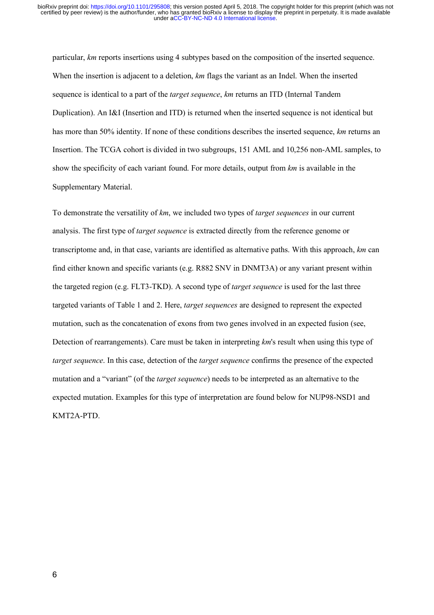particular, *km* reports insertions using 4 subtypes based on the composition of the inserted sequence. When the insertion is adjacent to a deletion, *km* flags the variant as an Indel. When the inserted sequence is identical to a part of the *target sequence*, *km* returns an ITD (Internal Tandem Duplication). An I&I (Insertion and ITD) is returned when the inserted sequence is not identical but has more than 50% identity. If none of these conditions describes the inserted sequence, *km* returns an Insertion. The TCGA cohort is divided in two subgroups, 151 AML and 10,256 non-AML samples, to show the specificity of each variant found. For more details, output from *km* is available in the Supplementary Material.

To demonstrate the versatility of *km*, we included two types of *target sequences* in our current analysis. The first type of *target sequence* is extracted directly from the reference genome or transcriptome and, in that case, variants are identified as alternative paths. With this approach, *km* can find either known and specific variants (e.g. R882 SNV in DNMT3A) or any variant present within the targeted region (e.g. FLT3-TKD). A second type of *target sequence* is used for the last three targeted variants of Table 1 and 2. Here, *target sequences* are designed to represent the expected mutation, such as the concatenation of exons from two genes involved in an expected fusion (see, Detection of rearrangements). Care must be taken in interpreting *km*'s result when using this type of *target sequence*. In this case, detection of the *target sequence* confirms the presence of the expected mutation and a "variant" (of the *target sequence*) needs to be interpreted as an alternative to the expected mutation. Examples for this type of interpretation are found below for NUP98-NSD1 and KMT2A-PTD.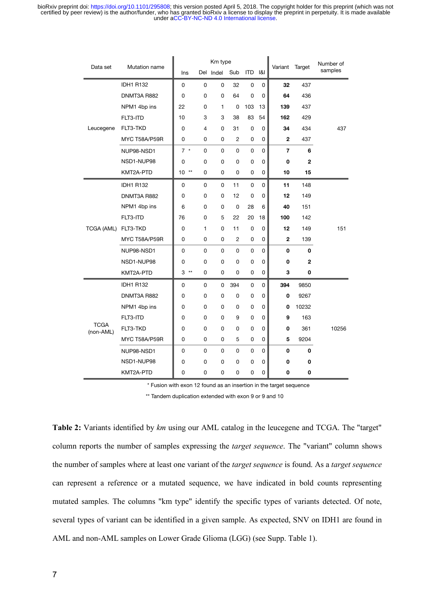|                          | Mutation name    | Km type   |   |           |                | Variant Target |    | Number of    |                |         |
|--------------------------|------------------|-----------|---|-----------|----------------|----------------|----|--------------|----------------|---------|
| Data set                 |                  | Ins       |   | Del Indel | Sub            | ITD I&I        |    |              |                | samples |
| Leucegene                | <b>IDH1 R132</b> | 0         | 0 | 0         | 32             | 0              | 0  | 32           | 437            |         |
|                          | DNMT3A R882      | 0         | 0 | 0         | 64             | 0              | 0  | 64           | 436            |         |
|                          | NPM1 4bp ins     | 22        | 0 | 1         | 0              | 103            | 13 | 139          | 437            |         |
|                          | FLT3-ITD         | 10        | 3 | 3         | 38             | 83             | 54 | 162          | 429            |         |
|                          | FLT3-TKD         | 0         | 4 | 0         | 31             | 0              | 0  | 34           | 434            | 437     |
|                          | MYC T58A/P59R    | 0         | 0 | 0         | $\overline{2}$ | 0              | 0  | $\mathbf{2}$ | 437            |         |
|                          | NUP98-NSD1       | $7 *$     | 0 | 0         | 0              | 0              | 0  | 7            | 6              |         |
|                          | NSD1-NUP98       | 0         | 0 | 0         | 0              | 0              | 0  | 0            | $\overline{2}$ |         |
|                          | KMT2A-PTD        | $10**$    | 0 | 0         | 0              | 0              | 0  | 10           | 15             |         |
|                          | <b>IDH1 R132</b> | 0         | 0 | 0         | 11             | 0              | 0  | 11           | 148            |         |
|                          | DNMT3A R882      | 0         | 0 | 0         | 12             | 0              | 0  | 12           | 149            |         |
|                          | NPM1 4bp ins     | 6         | 0 | 0         | 0              | 28             | 6  | 40           | 151            |         |
|                          | FLT3-ITD         | 76        | 0 | 5         | 22             | 20             | 18 | 100          | 142            |         |
| <b>TCGA (AML)</b>        | FLT3-TKD         | 0         | 1 | 0         | 11             | 0              | 0  | 12           | 149            | 151     |
|                          | MYC T58A/P59R    | 0         | 0 | 0         | 2              | 0              | 0  | $\mathbf{2}$ | 139            |         |
|                          | NUP98-NSD1       | 0         | 0 | 0         | 0              | 0              | 0  | 0            | 0              |         |
|                          | NSD1-NUP98       | 0         | 0 | 0         | 0              | 0              | 0  | 0            | 2              |         |
|                          | KMT2A-PTD        | 3<br>$**$ | 0 | 0         | 0              | 0              | 0  | 3            | 0              |         |
| <b>TCGA</b><br>(non-AML) | <b>IDH1 R132</b> | 0         | 0 | 0         | 394            | 0              | 0  | 394          | 9850           |         |
|                          | DNMT3A R882      | 0         | 0 | 0         | 0              | 0              | 0  | 0            | 9267           |         |
|                          | NPM1 4bp ins     | 0         | 0 | 0         | 0              | 0              | 0  | 0            | 10232          |         |
|                          | FLT3-ITD         | 0         | 0 | 0         | 9              | 0              | 0  | 9            | 163            |         |
|                          | FLT3-TKD         | 0         | 0 | 0         | 0              | 0              | 0  | 0            | 361            | 10256   |
|                          | MYC T58A/P59R    | 0         | 0 | 0         | 5              | 0              | 0  | 5            | 9204           |         |
|                          | NUP98-NSD1       | 0         | 0 | 0         | 0              | 0              | 0  | 0            | 0              |         |
|                          | NSD1-NUP98       | 0         | 0 | 0         | 0              | 0              | 0  | 0            | 0              |         |
|                          | KMT2A-PTD        | 0         | 0 | 0         | 0              | 0              | 0  | 0            | 0              |         |

\* Fusion with exon 12 found as an insertion in the target sequence

\*\* Tandem duplication extended with exon 9 or 9 and 10

**Table 2:** Variants identified by *km* using our AML catalog in the leucegene and TCGA. The "target" column reports the number of samples expressing the *target sequence*. The "variant" column shows 1 the number of samples where at least one variant of the *target sequence* is found. As a *target sequence* can represent a reference or a mutated sequence, we have indicated in bold counts representing mutated samples. The columns "km type" identify the specific types of variants detected. Of note, several types of variant can be identified in a given sample. As expected, SNV on IDH1 are found in AML and non-AML samples on Lower Grade Glioma (LGG) (see Supp. Table 1).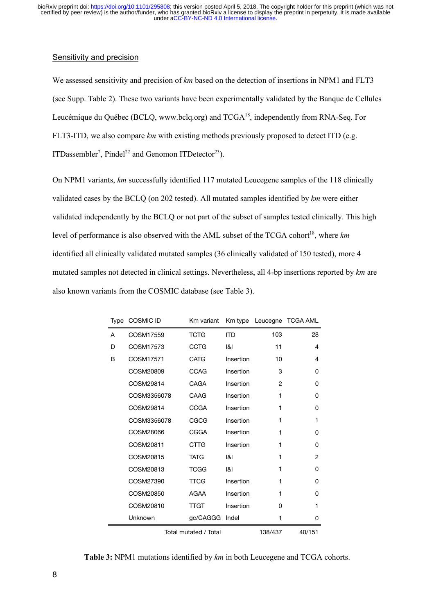## Sensitivity and precision

We assessed sensitivity and precision of *km* based on the detection of insertions in NPM1 and FLT3 (see Supp. Table 2). These two variants have been experimentally validated by the Banque de Cellules Leucémique du Québec (BCLQ, www.bclq.org) and TCGA18, independently from RNA-Seq. For FLT3-ITD, we also compare *km* with existing methods previously proposed to detect ITD (e.g. ITDassembler<sup>7</sup>, Pindel<sup>22</sup> and Genomon ITDetector<sup>23</sup>).

On NPM1 variants, *km* successfully identified 117 mutated Leucegene samples of the 118 clinically validated cases by the BCLQ (on 202 tested). All mutated samples identified by *km* were either validated independently by the BCLQ or not part of the subset of samples tested clinically. This high level of performance is also observed with the AML subset of the TCGA cohort<sup>18</sup>, where *km* identified all clinically validated mutated samples (36 clinically validated of 150 tested), more 4 mutated samples not detected in clinical settings. Nevertheless, all 4-bp insertions reported by *km* are also known variants from the COSMIC database (see Table 3).

| Type | <b>COSMIC ID</b>      | Km variant  |            |     | Km type Leucegne TCGA AML |
|------|-----------------------|-------------|------------|-----|---------------------------|
| A    | COSM17559             | <b>TCTG</b> | <b>ITD</b> | 103 | 28                        |
| D    | COSM17573             | CCTG        | 1&1        | 11  | 4                         |
| B    | COSM17571             | <b>CATG</b> | Insertion  | 10  | 4                         |
|      | COSM20809             | <b>CCAG</b> | Insertion  | 3   | 0                         |
|      | COSM29814             | CAGA        | Insertion  | 2   | 0                         |
|      | COSM3356078           | CAAG        | Insertion  | 1   | 0                         |
|      | COSM29814             | <b>CCGA</b> | Insertion  | 1   | 0                         |
|      | COSM3356078           | CGCG        | Insertion  | 1   | 1                         |
|      | COSM28066             | CGGA        | Insertion  | 1   | 0                         |
|      | COSM20811             | <b>CTTG</b> | Insertion  | 1   | 0                         |
|      | COSM20815             | <b>TATG</b> | 1&1        | 1   | $\overline{2}$            |
|      | COSM20813             | <b>TCGG</b> | 1&1        | 1   | 0                         |
|      | COSM27390             | <b>TTCG</b> | Insertion  | 1   | 0                         |
|      | COSM20850             | AGAA        | Insertion  | 1   | 0                         |
|      | COSM20810             | <b>TTGT</b> | Insertion  | 0   | 1                         |
|      | Unknown               | gc/CAGGG    | Indel      | 1   | 0                         |
|      | Total mutated / Total | 138/437     | 40/151     |     |                           |

**Table 3:** NPM1 mutations identified by *km* in both Leucegene and TCGA cohorts.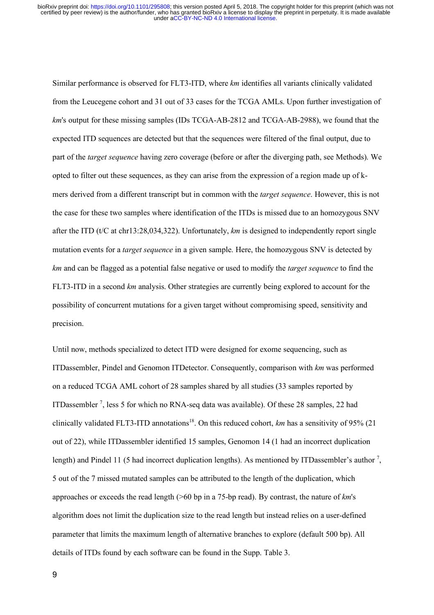Similar performance is observed for FLT3-ITD, where *km* identifies all variants clinically validated from the Leucegene cohort and 31 out of 33 cases for the TCGA AMLs. Upon further investigation of *km*'s output for these missing samples (IDs TCGA-AB-2812 and TCGA-AB-2988), we found that the expected ITD sequences are detected but that the sequences were filtered of the final output, due to part of the *target sequence* having zero coverage (before or after the diverging path, see Methods). We opted to filter out these sequences, as they can arise from the expression of a region made up of kmers derived from a different transcript but in common with the *target sequence*. However, this is not the case for these two samples where identification of the ITDs is missed due to an homozygous SNV after the ITD (t/C at chr13:28,034,322). Unfortunately, *km* is designed to independently report single mutation events for a *target sequence* in a given sample. Here, the homozygous SNV is detected by *km* and can be flagged as a potential false negative or used to modify the *target sequence* to find the FLT3-ITD in a second *km* analysis. Other strategies are currently being explored to account for the possibility of concurrent mutations for a given target without compromising speed, sensitivity and precision.

Until now, methods specialized to detect ITD were designed for exome sequencing, such as ITDassembler, Pindel and Genomon ITDetector. Consequently, comparison with *km* was performed on a reduced TCGA AML cohort of 28 samples shared by all studies (33 samples reported by ITDassembler<sup>7</sup>, less 5 for which no RNA-seq data was available). Of these 28 samples, 22 had clinically validated FLT3-ITD annotations 18. On this reduced cohort, *km* has a sensitivity of 95% (21 out of 22), while ITDassembler identified 15 samples, Genomon 14 (1 had an incorrect duplication length) and Pindel 11 (5 had incorrect duplication lengths). As mentioned by ITDassembler's author  $\frac{7}{1}$ , 5 out of the 7 missed mutated samples can be attributed to the length of the duplication, which approaches or exceeds the read length (>60 bp in a 75-bp read). By contrast, the nature of *km*'s algorithm does not limit the duplication size to the read length but instead relies on a user-defined parameter that limits the maximum length of alternative branches to explore (default 500 bp). All details of ITDs found by each software can be found in the Supp. Table 3.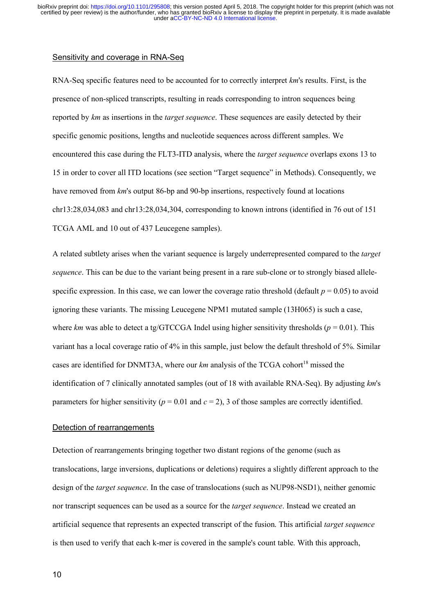#### Sensitivity and coverage in RNA-Seq

RNA-Seq specific features need to be accounted for to correctly interpret *km*'s results. First, is the presence of non-spliced transcripts, resulting in reads corresponding to intron sequences being reported by *km* as insertions in the *target sequence*. These sequences are easily detected by their specific genomic positions, lengths and nucleotide sequences across different samples. We encountered this case during the FLT3-ITD analysis, where the *target sequence* overlaps exons 13 to 15 in order to cover all ITD locations (see section "Target sequence" in Methods). Consequently, we have removed from *km*'s output 86-bp and 90-bp insertions, respectively found at locations chr13:28,034,083 and chr13:28,034,304, corresponding to known introns (identified in 76 out of 151 TCGA AML and 10 out of 437 Leucegene samples).

A related subtlety arises when the variant sequence is largely underrepresented compared to the *target sequence*. This can be due to the variant being present in a rare sub-clone or to strongly biased allelespecific expression. In this case, we can lower the coverage ratio threshold (default  $p = 0.05$ ) to avoid ignoring these variants. The missing Leucegene NPM1 mutated sample (13H065) is such a case, where  $km$  was able to detect a tg/GTCCGA Indel using higher sensitivity thresholds ( $p = 0.01$ ). This variant has a local coverage ratio of 4% in this sample, just below the default threshold of 5%. Similar cases are identified for DNMT3A, where our *km* analysis of the TCGA cohort<sup>18</sup> missed the identification of 7 clinically annotated samples (out of 18 with available RNA-Seq). By adjusting *km*'s parameters for higher sensitivity ( $p = 0.01$  and  $c = 2$ ), 3 of those samples are correctly identified.

#### Detection of rearrangements

Detection of rearrangements bringing together two distant regions of the genome (such as translocations, large inversions, duplications or deletions) requires a slightly different approach to the design of the *target sequence*. In the case of translocations (such as NUP98-NSD1), neither genomic nor transcript sequences can be used as a source for the *target sequence*. Instead we created an artificial sequence that represents an expected transcript of the fusion. This artificial *target sequence* is then used to verify that each k-mer is covered in the sample's count table. With this approach,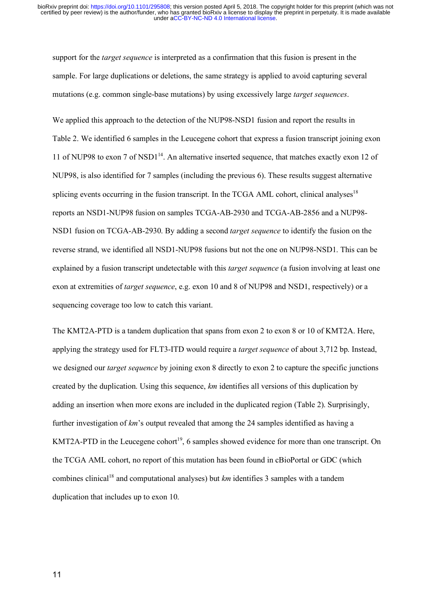support for the *target sequence* is interpreted as a confirmation that this fusion is present in the sample. For large duplications or deletions, the same strategy is applied to avoid capturing several mutations (e.g. common single-base mutations) by using excessively large *target sequences*.

We applied this approach to the detection of the NUP98-NSD1 fusion and report the results in Table 2. We identified 6 samples in the Leucegene cohort that express a fusion transcript joining exon 11 of NUP98 to exon 7 of NSD114. An alternative inserted sequence, that matches exactly exon 12 of NUP98, is also identified for 7 samples (including the previous 6). These results suggest alternative splicing events occurring in the fusion transcript. In the TCGA AML cohort, clinical analyses<sup>18</sup> reports an NSD1-NUP98 fusion on samples TCGA-AB-2930 and TCGA-AB-2856 and a NUP98- NSD1 fusion on TCGA-AB-2930. By adding a second *target sequence* to identify the fusion on the reverse strand, we identified all NSD1-NUP98 fusions but not the one on NUP98-NSD1. This can be explained by a fusion transcript undetectable with this *target sequence* (a fusion involving at least one exon at extremities of *target sequence*, e.g. exon 10 and 8 of NUP98 and NSD1, respectively) or a sequencing coverage too low to catch this variant.

The KMT2A-PTD is a tandem duplication that spans from exon 2 to exon 8 or 10 of KMT2A. Here, applying the strategy used for FLT3-ITD would require a *target sequence* of about 3,712 bp. Instead, we designed our *target sequence* by joining exon 8 directly to exon 2 to capture the specific junctions created by the duplication. Using this sequence, *km* identifies all versions of this duplication by adding an insertion when more exons are included in the duplicated region (Table 2). Surprisingly, further investigation of *km*'s output revealed that among the 24 samples identified as having a KMT2A-PTD in the Leucegene cohort<sup>19</sup>, 6 samples showed evidence for more than one transcript. On the TCGA AML cohort, no report of this mutation has been found in cBioPortal or GDC (which combines clinical<sup>18</sup> and computational analyses) but *km* identifies 3 samples with a tandem duplication that includes up to exon 10.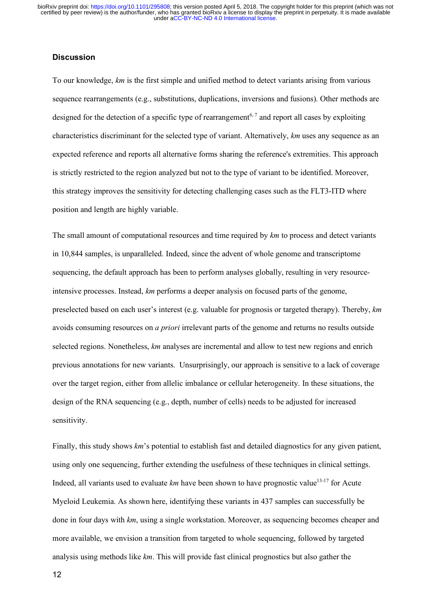## **Discussion**

To our knowledge, *km* is the first simple and unified method to detect variants arising from various sequence rearrangements (e.g., substitutions, duplications, inversions and fusions). Other methods are designed for the detection of a specific type of rearrangement<sup>6,7</sup> and report all cases by exploiting characteristics discriminant for the selected type of variant. Alternatively, *km* uses any sequence as an expected reference and reports all alternative forms sharing the reference's extremities. This approach is strictly restricted to the region analyzed but not to the type of variant to be identified. Moreover, this strategy improves the sensitivity for detecting challenging cases such as the FLT3-ITD where position and length are highly variable.

The small amount of computational resources and time required by *km* to process and detect variants in 10,844 samples, is unparalleled. Indeed, since the advent of whole genome and transcriptome sequencing, the default approach has been to perform analyses globally, resulting in very resourceintensive processes. Instead, *km* performs a deeper analysis on focused parts of the genome, preselected based on each user's interest (e.g. valuable for prognosis or targeted therapy). Thereby, *km* avoids consuming resources on *a priori* irrelevant parts of the genome and returns no results outside selected regions. Nonetheless, *km* analyses are incremental and allow to test new regions and enrich previous annotations for new variants. Unsurprisingly, our approach is sensitive to a lack of coverage over the target region, either from allelic imbalance or cellular heterogeneity. In these situations, the design of the RNA sequencing (e.g., depth, number of cells) needs to be adjusted for increased sensitivity.

Finally, this study shows *km*'s potential to establish fast and detailed diagnostics for any given patient, using only one sequencing, further extending the usefulness of these techniques in clinical settings. Indeed, all variants used to evaluate *km* have been shown to have prognostic value<sup>13-17</sup> for Acute Myeloid Leukemia. As shown here, identifying these variants in 437 samples can successfully be done in four days with *km*, using a single workstation. Moreover, as sequencing becomes cheaper and more available, we envision a transition from targeted to whole sequencing, followed by targeted analysis using methods like *km*. This will provide fast clinical prognostics but also gather the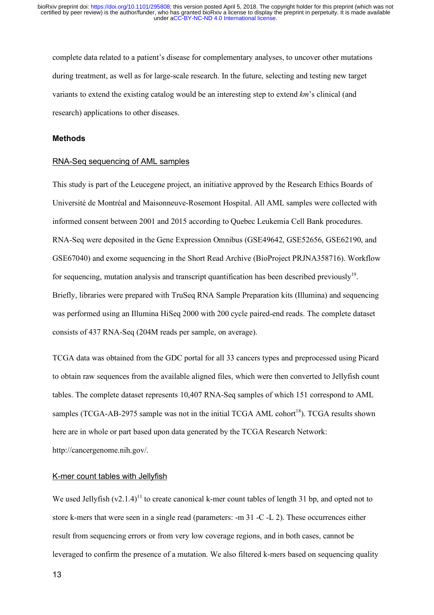complete data related to a patient's disease for complementary analyses, to uncover other mutations during treatment, as well as for large-scale research. In the future, selecting and testing new target variants to extend the existing catalog would be an interesting step to extend *km*'s clinical (and research) applications to other diseases.

#### **Methods**

#### RNA-Seq sequencing of AML samples

This study is part of the Leucegene project, an initiative approved by the Research Ethics Boards of Université de Montréal and Maisonneuve-Rosemont Hospital. All AML samples were collected with informed consent between 2001 and 2015 according to Quebec Leukemia Cell Bank procedures. RNA-Seq were deposited in the Gene Expression Omnibus (GSE49642, GSE52656, GSE62190, and GSE67040) and exome sequencing in the Short Read Archive (BioProject PRJNA358716). Workflow for sequencing, mutation analysis and transcript quantification has been described previously<sup>19</sup>. Briefly, libraries were prepared with TruSeq RNA Sample Preparation kits (Illumina) and sequencing was performed using an Illumina HiSeq 2000 with 200 cycle paired-end reads. The complete dataset consists of 437 RNA-Seq (204M reads per sample, on average).

TCGA data was obtained from the GDC portal for all 33 cancers types and preprocessed using Picard to obtain raw sequences from the available aligned files, which were then converted to Jellyfish count tables. The complete dataset represents 10,407 RNA-Seq samples of which 151 correspond to AML samples (TCGA-AB-2975 sample was not in the initial TCGA AML cohort<sup>18</sup>). TCGA results shown here are in whole or part based upon data generated by the TCGA Research Network: http://cancergenome.nih.gov/.

#### K-mer count tables with Jellyfish

We used Jellyfish  $(v2.1.4)^{11}$  to create canonical k-mer count tables of length 31 bp, and opted not to store k-mers that were seen in a single read (parameters: -m 31 -C -L 2). These occurrences either result from sequencing errors or from very low coverage regions, and in both cases, cannot be leveraged to confirm the presence of a mutation. We also filtered k-mers based on sequencing quality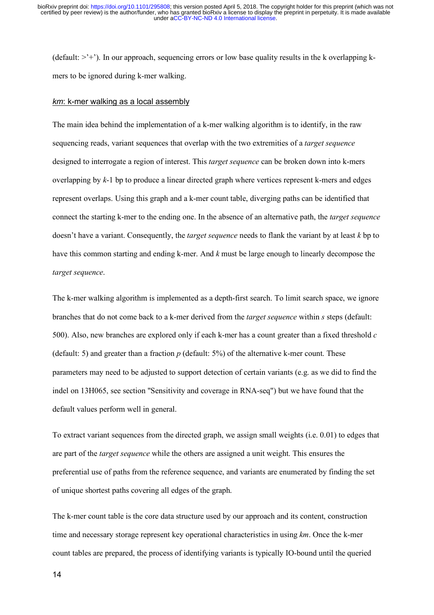(default:  $>^{\prime}$ +'). In our approach, sequencing errors or low base quality results in the k overlapping kmers to be ignored during k-mer walking.

#### *km*: k-mer walking as a local assembly

The main idea behind the implementation of a k-mer walking algorithm is to identify, in the raw sequencing reads, variant sequences that overlap with the two extremities of a *target sequence* designed to interrogate a region of interest. This *target sequence* can be broken down into k-mers overlapping by *k*-1 bp to produce a linear directed graph where vertices represent k-mers and edges represent overlaps. Using this graph and a k-mer count table, diverging paths can be identified that connect the starting k-mer to the ending one. In the absence of an alternative path, the *target sequence* doesn't have a variant. Consequently, the *target sequence* needs to flank the variant by at least *k* bp to have this common starting and ending k-mer. And *k* must be large enough to linearly decompose the *target sequence*.

The k-mer walking algorithm is implemented as a depth-first search. To limit search space, we ignore branches that do not come back to a k-mer derived from the *target sequence* within *s* steps (default: 500). Also, new branches are explored only if each k-mer has a count greater than a fixed threshold *c* (default: 5) and greater than a fraction *p* (default: 5%) of the alternative k-mer count. These parameters may need to be adjusted to support detection of certain variants (e.g. as we did to find the indel on 13H065, see section "Sensitivity and coverage in RNA-seq") but we have found that the default values perform well in general.

To extract variant sequences from the directed graph, we assign small weights (i.e. 0.01) to edges that are part of the *target sequence* while the others are assigned a unit weight. This ensures the preferential use of paths from the reference sequence, and variants are enumerated by finding the set of unique shortest paths covering all edges of the graph.

The k-mer count table is the core data structure used by our approach and its content, construction time and necessary storage represent key operational characteristics in using *km*. Once the k-mer count tables are prepared, the process of identifying variants is typically IO-bound until the queried

14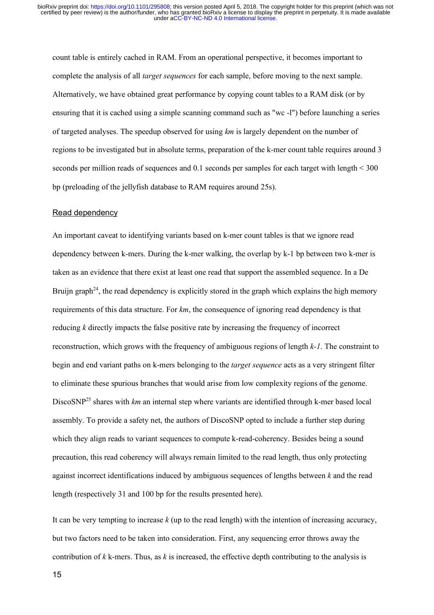count table is entirely cached in RAM. From an operational perspective, it becomes important to complete the analysis of all *target sequences* for each sample, before moving to the next sample. Alternatively, we have obtained great performance by copying count tables to a RAM disk (or by ensuring that it is cached using a simple scanning command such as "wc -l") before launching a series of targeted analyses. The speedup observed for using *km* is largely dependent on the number of regions to be investigated but in absolute terms, preparation of the k-mer count table requires around 3 seconds per million reads of sequences and 0.1 seconds per samples for each target with length < 300 bp (preloading of the jellyfish database to RAM requires around 25s).

## Read dependency

An important caveat to identifying variants based on k-mer count tables is that we ignore read dependency between k-mers. During the k-mer walking, the overlap by k-1 bp between two k-mer is taken as an evidence that there exist at least one read that support the assembled sequence. In a De Bruijn graph<sup>24</sup>, the read dependency is explicitly stored in the graph which explains the high memory requirements of this data structure. For *km*, the consequence of ignoring read dependency is that reducing *k* directly impacts the false positive rate by increasing the frequency of incorrect reconstruction, which grows with the frequency of ambiguous regions of length *k-1*. The constraint to begin and end variant paths on k-mers belonging to the *target sequence* acts as a very stringent filter to eliminate these spurious branches that would arise from low complexity regions of the genome. DiscoSNP<sup>25</sup> shares with *km* an internal step where variants are identified through k-mer based local assembly. To provide a safety net, the authors of DiscoSNP opted to include a further step during which they align reads to variant sequences to compute k-read-coherency. Besides being a sound precaution, this read coherency will always remain limited to the read length, thus only protecting against incorrect identifications induced by ambiguous sequences of lengths between *k* and the read length (respectively 31 and 100 bp for the results presented here).

It can be very tempting to increase  $k$  (up to the read length) with the intention of increasing accuracy, but two factors need to be taken into consideration. First, any sequencing error throws away the contribution of  $k$  k-mers. Thus, as  $k$  is increased, the effective depth contributing to the analysis is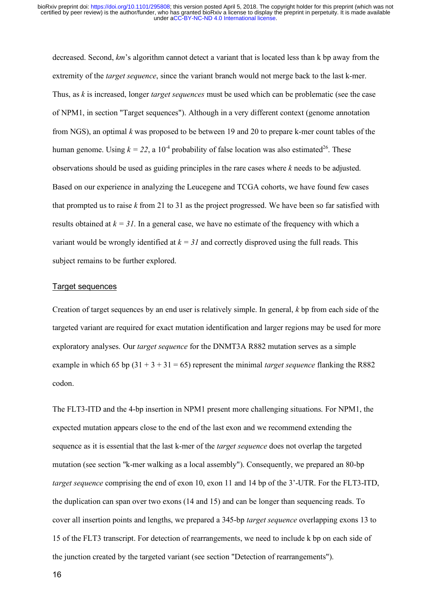decreased. Second, *km*'s algorithm cannot detect a variant that is located less than k bp away from the extremity of the *target sequence*, since the variant branch would not merge back to the last k-mer. Thus, as *k* is increased, longer *target sequences* must be used which can be problematic (see the case of NPM1, in section "Target sequences"). Although in a very different context (genome annotation from NGS), an optimal *k* was proposed to be between 19 and 20 to prepare k-mer count tables of the human genome. Using  $k = 22$ , a 10<sup>-4</sup> probability of false location was also estimated<sup>26</sup>. These observations should be used as guiding principles in the rare cases where *k* needs to be adjusted. Based on our experience in analyzing the Leucegene and TCGA cohorts, we have found few cases that prompted us to raise *k* from 21 to 31 as the project progressed. We have been so far satisfied with results obtained at  $k = 31$ . In a general case, we have no estimate of the frequency with which a variant would be wrongly identified at  $k = 31$  and correctly disproved using the full reads. This subject remains to be further explored.

#### Target sequences

Creation of target sequences by an end user is relatively simple. In general, *k* bp from each side of the targeted variant are required for exact mutation identification and larger regions may be used for more exploratory analyses. Our *target sequence* for the DNMT3A R882 mutation serves as a simple example in which 65 bp  $(31 + 3 + 31 = 65)$  represent the minimal *target sequence* flanking the R882 codon.

The FLT3-ITD and the 4-bp insertion in NPM1 present more challenging situations. For NPM1, the expected mutation appears close to the end of the last exon and we recommend extending the sequence as it is essential that the last k-mer of the *target sequence* does not overlap the targeted mutation (see section "k-mer walking as a local assembly"). Consequently, we prepared an 80-bp *target sequence* comprising the end of exon 10, exon 11 and 14 bp of the 3'-UTR. For the FLT3-ITD, the duplication can span over two exons (14 and 15) and can be longer than sequencing reads. To cover all insertion points and lengths, we prepared a 345-bp *target sequence* overlapping exons 13 to 15 of the FLT3 transcript. For detection of rearrangements, we need to include k bp on each side of the junction created by the targeted variant (see section "Detection of rearrangements").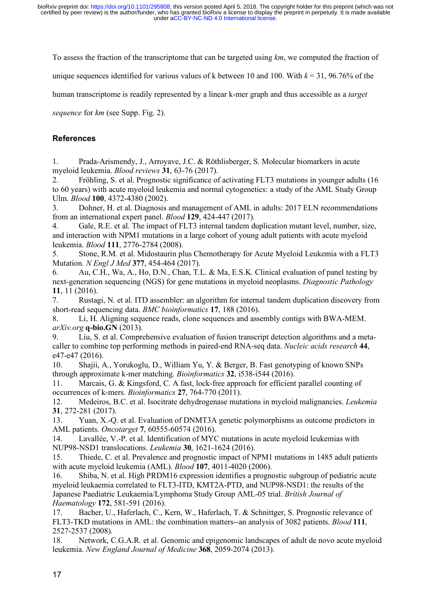To assess the fraction of the transcriptome that can be targeted using *km*, we computed the fraction of

unique sequences identified for various values of k between 10 and 100. With  $k = 31, 96.76\%$  of the

human transcriptome is readily represented by a linear k-mer graph and thus accessible as a *target* 

*sequence* for *km* (see Supp. Fig. 2).

## **References**

1. Prada-Arismendy, J., Arroyave, J.C. & Röthlisberger, S. Molecular biomarkers in acute myeloid leukemia. *Blood reviews* **31**, 63-76 (2017).

2. Fröhling, S. et al. Prognostic significance of activating FLT3 mutations in younger adults (16 to 60 years) with acute myeloid leukemia and normal cytogenetics: a study of the AML Study Group Ulm. *Blood* **100**, 4372-4380 (2002).

3. Dohner, H. et al. Diagnosis and management of AML in adults: 2017 ELN recommendations from an international expert panel. *Blood* **129**, 424-447 (2017).

4. Gale, R.E. et al. The impact of FLT3 internal tandem duplication mutant level, number, size, and interaction with NPM1 mutations in a large cohort of young adult patients with acute myeloid leukemia. *Blood* **111**, 2776-2784 (2008).

5. Stone, R.M. et al. Midostaurin plus Chemotherapy for Acute Myeloid Leukemia with a FLT3 Mutation. *N Engl J Med* **377**, 454-464 (2017).

6. Au, C.H., Wa, A., Ho, D.N., Chan, T.L. & Ma, E.S.K. Clinical evaluation of panel testing by next-generation sequencing (NGS) for gene mutations in myeloid neoplasms. *Diagnostic Pathology* **11**, 11 (2016).

7. Rustagi, N. et al. ITD assembler: an algorithm for internal tandem duplication discovery from short-read sequencing data. *BMC bioinformatics* **17**, 188 (2016).

8. Li, H. Aligning sequence reads, clone sequences and assembly contigs with BWA-MEM. *arXiv.org* **q-bio.GN** (2013).

9. Liu, S. et al. Comprehensive evaluation of fusion transcript detection algorithms and a metacaller to combine top performing methods in paired-end RNA-seq data. *Nucleic acids research* **44**, e47-e47 (2016).

10. Shajii, A., Yorukoglu, D., William Yu, Y. & Berger, B. Fast genotyping of known SNPs through approximate k-mer matching. *Bioinformatics* **32**, i538-i544 (2016).

11. Marcais, G. & Kingsford, C. A fast, lock-free approach for efficient parallel counting of occurrences of k-mers. *Bioinformatics* **27**, 764-770 (2011).

12. Medeiros, B.C. et al. Isocitrate dehydrogenase mutations in myeloid malignancies. *Leukemia* **31**, 272-281 (2017).

13. Yuan, X.-Q. et al. Evaluation of DNMT3A genetic polymorphisms as outcome predictors in AML patients. *Oncotarget* **7**, 60555-60574 (2016).

14. Lavallée, V.-P. et al. Identification of MYC mutations in acute myeloid leukemias with NUP98-NSD1 translocations. *Leukemia* **30**, 1621-1624 (2016).

15. Thiede, C. et al. Prevalence and prognostic impact of NPM1 mutations in 1485 adult patients with acute myeloid leukemia (AML). *Blood* **107**, 4011-4020 (2006).

16. Shiba, N. et al. High PRDM16 expression identifies a prognostic subgroup of pediatric acute myeloid leukaemia correlated to FLT3-ITD, KMT2A-PTD, and NUP98-NSD1: the results of the Japanese Paediatric Leukaemia/Lymphoma Study Group AML-05 trial. *British Journal of Haematology* **172**, 581-591 (2016).

17. Bacher, U., Haferlach, C., Kern, W., Haferlach, T. & Schnittger, S. Prognostic relevance of FLT3-TKD mutations in AML: the combination matters--an analysis of 3082 patients. *Blood* **111**, 2527-2537 (2008).

18. Network, C.G.A.R. et al. Genomic and epigenomic landscapes of adult de novo acute myeloid leukemia. *New England Journal of Medicine* **368**, 2059-2074 (2013).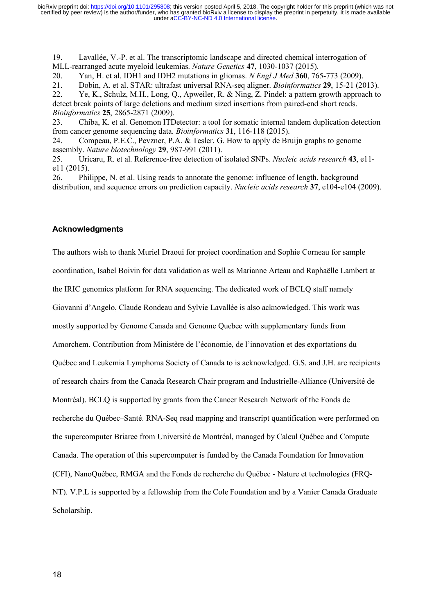19. Lavallée, V.-P. et al. The transcriptomic landscape and directed chemical interrogation of MLL-rearranged acute myeloid leukemias. *Nature Genetics* **47**, 1030-1037 (2015).

20. Yan, H. et al. IDH1 and IDH2 mutations in gliomas. *N Engl J Med* **360**, 765-773 (2009).

21. Dobin, A. et al. STAR: ultrafast universal RNA-seq aligner. *Bioinformatics* **29**, 15-21 (2013).

22. Ye, K., Schulz, M.H., Long, Q., Apweiler, R. & Ning, Z. Pindel: a pattern growth approach to detect break points of large deletions and medium sized insertions from paired-end short reads. *Bioinformatics* **25**, 2865-2871 (2009).

23. Chiba, K. et al. Genomon ITDetector: a tool for somatic internal tandem duplication detection from cancer genome sequencing data. *Bioinformatics* **31**, 116-118 (2015).

24. Compeau, P.E.C., Pevzner, P.A. & Tesler, G. How to apply de Bruijn graphs to genome assembly. *Nature biotechnology* **29**, 987-991 (2011).

25. Uricaru, R. et al. Reference-free detection of isolated SNPs. *Nucleic acids research* **43**, e11 e11 (2015).

26. Philippe, N. et al. Using reads to annotate the genome: influence of length, background distribution, and sequence errors on prediction capacity. *Nucleic acids research* **37**, e104-e104 (2009).

## **Acknowledgments**

The authors wish to thank Muriel Draoui for project coordination and Sophie Corneau for sample coordination, Isabel Boivin for data validation as well as Marianne Arteau and Raphaëlle Lambert at the IRIC genomics platform for RNA sequencing. The dedicated work of BCLQ staff namely Giovanni d'Angelo, Claude Rondeau and Sylvie Lavallée is also acknowledged. This work was mostly supported by Genome Canada and Genome Quebec with supplementary funds from Amorchem. Contribution from Ministère de l'économie, de l'innovation et des exportations du Québec and Leukemia Lymphoma Society of Canada to is acknowledged. G.S. and J.H. are recipients of research chairs from the Canada Research Chair program and Industrielle-Alliance (Université de Montréal). BCLQ is supported by grants from the Cancer Research Network of the Fonds de recherche du Québec–Santé. RNA-Seq read mapping and transcript quantification were performed on the supercomputer Briaree from Université de Montréal, managed by Calcul Québec and Compute Canada. The operation of this supercomputer is funded by the Canada Foundation for Innovation (CFI), NanoQuébec, RMGA and the Fonds de recherche du Québec - Nature et technologies (FRQ-NT). V.P.L is supported by a fellowship from the Cole Foundation and by a Vanier Canada Graduate Scholarship.